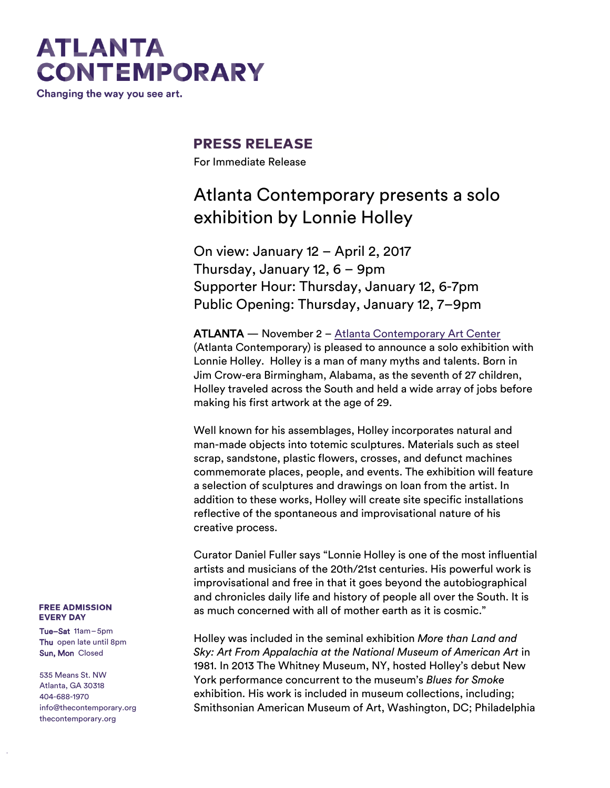# **ATLANTA CONTEMPORARY**

Changing the way you see art.

### **PRESS RELEASE**

For Immediate Release

## Atlanta Contemporary presents a solo exhibition by Lonnie Holley

On view: January 12 – April 2, 2017 Thursday, January 12, 6 – 9pm Supporter Hour: Thursday, January 12, 6-7pm Public Opening: Thursday, January 12, 7–9pm

ATLANTA — November 2 – [Atlanta Contemporary Art Center](http://atlantacontemporary.org/) (Atlanta Contemporary) is pleased to announce a solo exhibition with Lonnie Holley. Holley is a man of many myths and talents. Born in Jim Crow-era Birmingham, Alabama, as the seventh of 27 children, Holley traveled across the South and held a wide array of jobs before making his first artwork at the age of 29.

Well known for his assemblages, Holley incorporates natural and man-made objects into totemic sculptures. Materials such as steel scrap, sandstone, plastic flowers, crosses, and defunct machines commemorate places, people, and events. The exhibition will feature a selection of sculptures and drawings on loan from the artist. In addition to these works, Holley will create site specific installations reflective of the spontaneous and improvisational nature of his creative process.

Curator Daniel Fuller says "Lonnie Holley is one of the most influential artists and musicians of the 20th/21st centuries. His powerful work is improvisational and free in that it goes beyond the autobiographical and chronicles daily life and history of people all over the South. It is as much concerned with all of mother earth as it is cosmic."

Holley was included in the seminal exhibition *More than Land and Sky: Art From Appalachia at the National Museum of American Art* in 1981. In 2013 The Whitney Museum, NY, hosted Holley's debut New York performance concurrent to the museum's *Blues for Smoke* exhibition. His work is included in museum collections, including; Smithsonian American Museum of Art, Washington, DC; Philadelphia

#### **FREE ADMISSION EVERY DAY**

Tue–Sat 11am–5pm Thu open late until 8pm Sun, Mon Closed

535 Means St. NW Atlanta, GA 30318 404-688-1970 [info@thecontemporary.org](mailto:info@thecontemporary.org) thecontemporary.org

thecontemporary.org